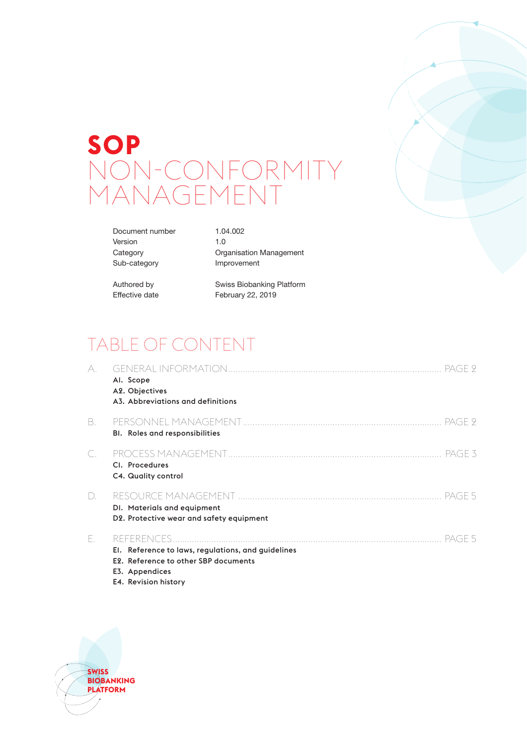# **SOP** NON-CONFORMITY MANAGEMENT

Document number 1.04.002 Version 1.0

Category **Category** Organisation Management Sub-category **Improvement** 

Authored by Swiss Biobanking Platform Effective date February 22, 2019

## TABLE OF CONTENT

| A.        | PAGE 2<br>Al. Scope<br>A2. Objectives<br>A3. Abbreviations and definitions                                                                     |
|-----------|------------------------------------------------------------------------------------------------------------------------------------------------|
| В.        | PAGE 9<br>BI. Roles and responsibilities                                                                                                       |
| $\subset$ | - PAGE 3<br>CI. Procedures<br>C4. Quality control                                                                                              |
| $\Box$    | PAGE 5<br>DI. Materials and equipment<br>D2. Protective wear and safety equipment                                                              |
| Е.        | PAGE 5<br>El. Reference to laws, regulations, and guidelines<br>E2. Reference to other SBP documents<br>E3. Appendices<br>E4. Revision history |

**SWISS BIOBANKING PLATFORM**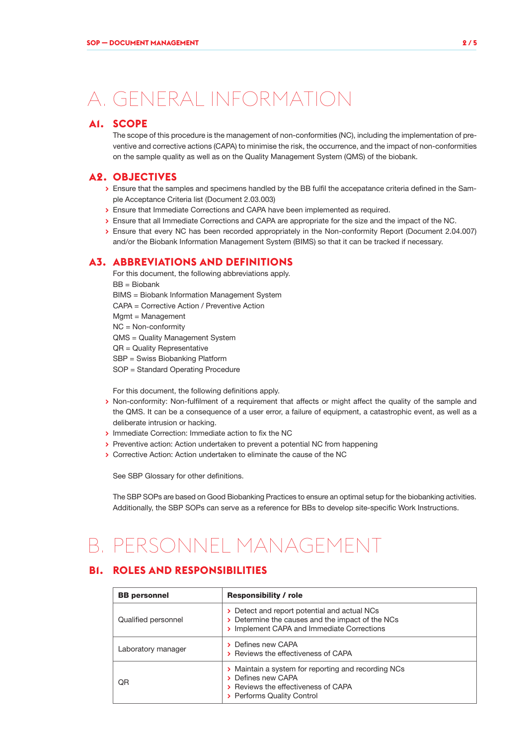# A. GENERAL INFORMATION

## **A1. SCOPE**

The scope of this procedure is the management of non-conformities (NC), including the implementation of preventive and corrective actions (CAPA) to minimise the risk, the occurrence, and the impact of non-conformities on the sample quality as well as on the Quality Management System (QMS) of the biobank.

### **A2. OBJECTIVES**

- **>** Ensure that the samples and specimens handled by the BB fulfil the accepatance criteria defined in the Sample Acceptance Criteria list (Document 2.03.003)
- **>** Ensure that Immediate Corrections and CAPA have been implemented as required.
- **>** Ensure that all Immediate Corrections and CAPA are appropriate for the size and the impact of the NC.
- **>** Ensure that every NC has been recorded appropriately in the Non-conformity Report (Document 2.04.007) and/or the Biobank Information Management System (BIMS) so that it can be tracked if necessary.

### **A3. ABBREVIATIONS AND DEFINITIONS**

For this document, the following abbreviations apply.  $BR = Biobank$ BIMS = Biobank Information Management System CAPA = Corrective Action / Preventive Action Mgmt = Management NC = Non-conformity QMS = Quality Management System QR = Quality Representative SBP = Swiss Biobanking Platform SOP = Standard Operating Procedure

For this document, the following definitions apply.

- **>** Non-conformity: Non-fulfilment of a requirement that affects or might affect the quality of the sample and the QMS. It can be a consequence of a user error, a failure of equipment, a catastrophic event, as well as a deliberate intrusion or hacking.
- **>** Immediate Correction: Immediate action to fix the NC
- **>** Preventive action: Action undertaken to prevent a potential NC from happening
- **>** Corrective Action: Action undertaken to eliminate the cause of the NC

See SBP Glossary for other definitions.

The SBP SOPs are based on Good Biobanking Practices to ensure an optimal setup for the biobanking activities. Additionally, the SBP SOPs can serve as a reference for BBs to develop site-specific Work Instructions.

## B. PERSONNEL MANAGEMENT

## **B1. ROLES AND RESPONSIBILITIES**

| <b>BB</b> personnel | <b>Responsibility / role</b>                                                                                                                   |  |  |
|---------------------|------------------------------------------------------------------------------------------------------------------------------------------------|--|--|
| Qualified personnel | > Detect and report potential and actual NCs<br>> Determine the causes and the impact of the NCs<br>> Implement CAPA and Immediate Corrections |  |  |
| Laboratory manager  | > Defines new CAPA<br>> Reviews the effectiveness of CAPA                                                                                      |  |  |
| ΟR                  | > Maintain a system for reporting and recording NCs<br>> Defines new CAPA<br>> Reviews the effectiveness of CAPA<br>> Performs Quality Control |  |  |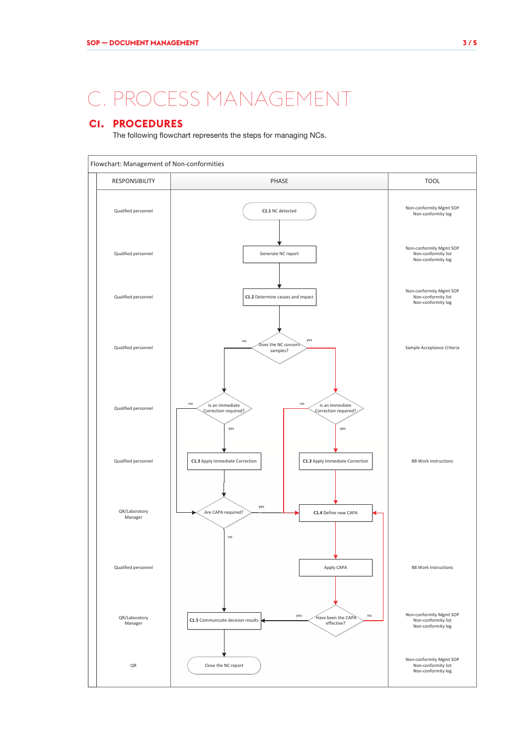# C. PROCESS MANAGEMENT

## **C1. PROCEDURES**

The following flowchart represents the steps for managing NCs.

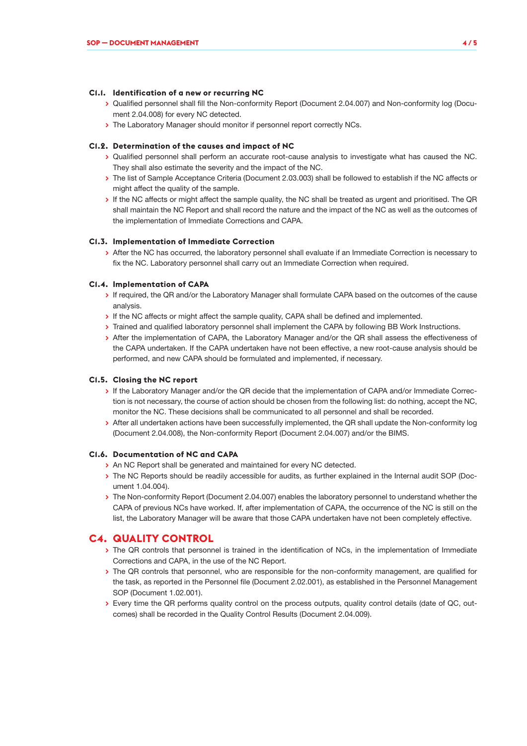#### **C1.1. Identification of a new or recurring NC**

- **>** Qualified personnel shall fill the Non-conformity Report (Document 2.04.007) and Non-conformity log (Document 2.04.008) for every NC detected.
- **>** The Laboratory Manager should monitor if personnel report correctly NCs.

#### **C1.2. Determination of the causes and impact of NC**

- **>** Qualified personnel shall perform an accurate root-cause analysis to investigate what has caused the NC. They shall also estimate the severity and the impact of the NC.
- **>** The list of Sample Acceptance Criteria (Document 2.03.003) shall be followed to establish if the NC affects or might affect the quality of the sample.
- **>** If the NC affects or might affect the sample quality, the NC shall be treated as urgent and prioritised. The QR shall maintain the NC Report and shall record the nature and the impact of the NC as well as the outcomes of the implementation of Immediate Corrections and CAPA.

#### **C1.3. Implementation of Immediate Correction**

**>** After the NC has occurred, the laboratory personnel shall evaluate if an Immediate Correction is necessary to fix the NC. Laboratory personnel shall carry out an Immediate Correction when required.

#### **C1.4. Implementation of CAPA**

- **>** If required, the QR and/or the Laboratory Manager shall formulate CAPA based on the outcomes of the cause analysis.
- **>** If the NC affects or might affect the sample quality, CAPA shall be defined and implemented.
- **>** Trained and qualified laboratory personnel shall implement the CAPA by following BB Work Instructions.
- **>** After the implementation of CAPA, the Laboratory Manager and/or the QR shall assess the effectiveness of the CAPA undertaken. If the CAPA undertaken have not been effective, a new root-cause analysis should be performed, and new CAPA should be formulated and implemented, if necessary.

#### **C1.5. Closing the NC report**

- **>** If the Laboratory Manager and/or the QR decide that the implementation of CAPA and/or Immediate Correction is not necessary, the course of action should be chosen from the following list: do nothing, accept the NC, monitor the NC. These decisions shall be communicated to all personnel and shall be recorded.
- **>** After all undertaken actions have been successfully implemented, the QR shall update the Non-conformity log (Document 2.04.008), the Non-conformity Report (Document 2.04.007) and/or the BIMS.

#### **C1.6. Documentation of NC and CAPA**

- **>** An NC Report shall be generated and maintained for every NC detected.
- **>** The NC Reports should be readily accessible for audits, as further explained in the Internal audit SOP (Document 1.04.004).
- **>** The Non-conformity Report (Document 2.04.007) enables the laboratory personnel to understand whether the CAPA of previous NCs have worked. If, after implementation of CAPA, the occurrence of the NC is still on the list, the Laboratory Manager will be aware that those CAPA undertaken have not been completely effective.

### **C4. QUALITY CONTROL**

- **>** The QR controls that personnel is trained in the identification of NCs, in the implementation of Immediate Corrections and CAPA, in the use of the NC Report.
- **>** The QR controls that personnel, who are responsible for the non-conformity management, are qualified for the task, as reported in the Personnel file (Document 2.02.001), as established in the Personnel Management SOP (Document 1.02.001).
- **>** Every time the QR performs quality control on the process outputs, quality control details (date of QC, outcomes) shall be recorded in the Quality Control Results (Document 2.04.009).